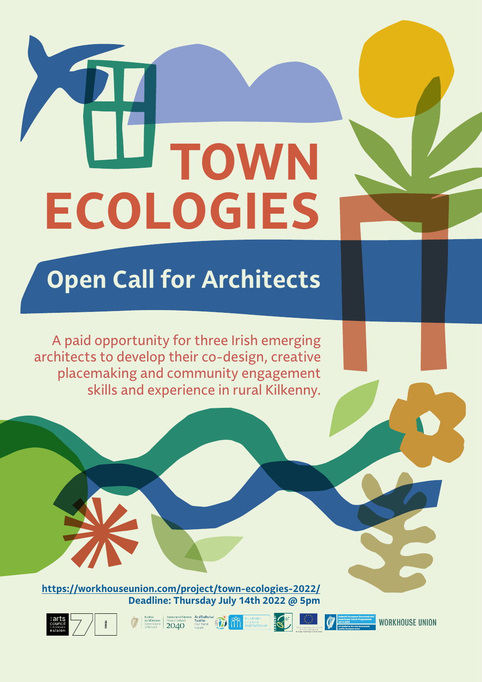# **TOWN ECOLOGIES**

# **Open Call for Architects**

A paid opportunity for three Irish emerging architects to develop their co-design, creative placemaking and community engagement skills and experience in rural Kilkenny.

**<https://workhouseunion.com/project/town-ecologies-2022/> Deadline: Thursday July 14th 2022 @ 5pm**

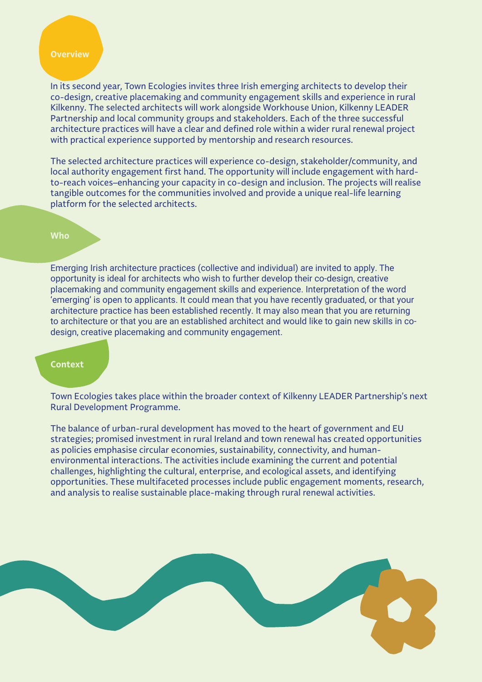### **Overview**

In its second year, Town Ecologies invites three Irish emerging architects to develop their co-design, creative placemaking and community engagement skills and experience in rural Kilkenny. The selected architects will work alongside Workhouse Union, Kilkenny LEADER Partnership and local community groups and stakeholders. Each of the three successful architecture practices will have a clear and defined role within a wider rural renewal project with practical experience supported by mentorship and research resources.

The selected architecture practices will experience co-design, stakeholder/community, and local authority engagement first hand. The opportunity will include engagement with hardto-reach voices–enhancing your capacity in co-design and inclusion. The projects will realise tangible outcomes for the communities involved and provide a unique real-life learning platform for the selected architects.

### **Who**

Emerging Irish architecture practices (collective and individual) are invited to apply. The opportunity is ideal for architects who wish to further develop their co-design, creative placemaking and community engagement skills and experience. Interpretation of the word 'emerging' is open to applicants. It could mean that you have recently graduated, or that your architecture practice has been established recently. It may also mean that you are returning to architecture or that you are an established architect and would like to gain new skills in codesign, creative placemaking and community engagement.

### **Context**

Town Ecologies takes place within the broader context of Kilkenny LEADER Partnership's next Rural Development Programme.

The balance of urban-rural development has moved to the heart of government and EU strategies; promised investment in rural Ireland and town renewal has created opportunities as policies emphasise circular economies, sustainability, connectivity, and humanenvironmental interactions. The activities include examining the current and potential challenges, highlighting the cultural, enterprise, and ecological assets, and identifying opportunities. These multifaceted processes include public engagement moments, research, and analysis to realise sustainable place-making through rural renewal activities.